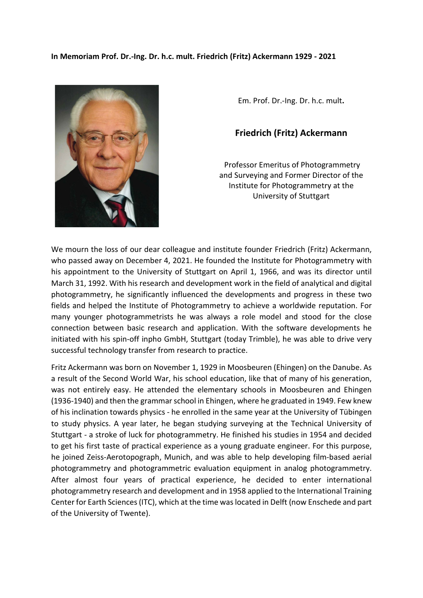

Em. Prof. Dr.-Ing. Dr. h.c. mult**.**

## **Friedrich (Fritz) Ackermann**

Professor Emeritus of Photogrammetry and Surveying and Former Director of the Institute for Photogrammetry at the University of Stuttgart

We mourn the loss of our dear colleague and institute founder Friedrich (Fritz) Ackermann, who passed away on December 4, 2021. He founded the Institute for Photogrammetry with his appointment to the University of Stuttgart on April 1, 1966, and was its director until March 31, 1992. With his research and development work in the field of analytical and digital photogrammetry, he significantly influenced the developments and progress in these two fields and helped the Institute of Photogrammetry to achieve a worldwide reputation. For many younger photogrammetrists he was always a role model and stood for the close connection between basic research and application. With the software developments he initiated with his spin-off inpho GmbH, Stuttgart (today Trimble), he was able to drive very successful technology transfer from research to practice.

Fritz Ackermann was born on November 1, 1929 in Moosbeuren (Ehingen) on the Danube. As a result of the Second World War, his school education, like that of many of his generation, was not entirely easy. He attended the elementary schools in Moosbeuren and Ehingen (1936-1940) and then the grammar school in Ehingen, where he graduated in 1949. Few knew of his inclination towards physics - he enrolled in the same year at the University of Tübingen to study physics. A year later, he began studying surveying at the Technical University of Stuttgart - a stroke of luck for photogrammetry. He finished his studies in 1954 and decided to get his first taste of practical experience as a young graduate engineer. For this purpose, he joined Zeiss-Aerotopograph, Munich, and was able to help developing film-based aerial photogrammetry and photogrammetric evaluation equipment in analog photogrammetry. After almost four years of practical experience, he decided to enter international photogrammetry research and development and in 1958 applied to the International Training Center for Earth Sciences (ITC), which at the time was located in Delft (now Enschede and part of the University of Twente).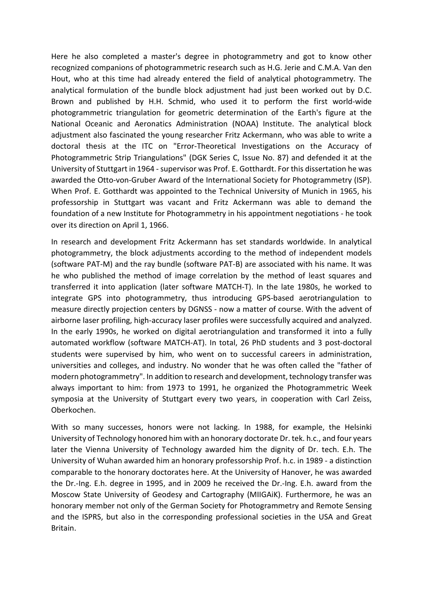Here he also completed a master's degree in photogrammetry and got to know other recognized companions of photogrammetric research such as H.G. Jerie and C.M.A. Van den Hout, who at this time had already entered the field of analytical photogrammetry. The analytical formulation of the bundle block adjustment had just been worked out by D.C. Brown and published by H.H. Schmid, who used it to perform the first world-wide photogrammetric triangulation for geometric determination of the Earth's figure at the National Oceanic and Aeronatics Administration (NOAA) Institute. The analytical block adjustment also fascinated the young researcher Fritz Ackermann, who was able to write a doctoral thesis at the ITC on "Error-Theoretical Investigations on the Accuracy of Photogrammetric Strip Triangulations" (DGK Series C, Issue No. 87) and defended it at the University of Stuttgart in 1964 - supervisor was Prof. E. Gotthardt. For this dissertation he was awarded the Otto-von-Gruber Award of the International Society for Photogrammetry (ISP). When Prof. E. Gotthardt was appointed to the Technical University of Munich in 1965, his professorship in Stuttgart was vacant and Fritz Ackermann was able to demand the foundation of a new Institute for Photogrammetry in his appointment negotiations - he took over its direction on April 1, 1966.

In research and development Fritz Ackermann has set standards worldwide. In analytical photogrammetry, the block adjustments according to the method of independent models (software PAT-M) and the ray bundle (software PAT-B) are associated with his name. It was he who published the method of image correlation by the method of least squares and transferred it into application (later software MATCH-T). In the late 1980s, he worked to integrate GPS into photogrammetry, thus introducing GPS-based aerotriangulation to measure directly projection centers by DGNSS - now a matter of course. With the advent of airborne laser profiling, high-accuracy laser profiles were successfully acquired and analyzed. In the early 1990s, he worked on digital aerotriangulation and transformed it into a fully automated workflow (software MATCH-AT). In total, 26 PhD students and 3 post-doctoral students were supervised by him, who went on to successful careers in administration, universities and colleges, and industry. No wonder that he was often called the "father of modern photogrammetry". In addition to research and development, technology transfer was always important to him: from 1973 to 1991, he organized the Photogrammetric Week symposia at the University of Stuttgart every two years, in cooperation with Carl Zeiss, Oberkochen.

With so many successes, honors were not lacking. In 1988, for example, the Helsinki University of Technology honored him with an honorary doctorate Dr. tek. h.c., and four years later the Vienna University of Technology awarded him the dignity of Dr. tech. E.h. The University of Wuhan awarded him an honorary professorship Prof. h.c. in 1989 - a distinction comparable to the honorary doctorates here. At the University of Hanover, he was awarded the Dr.-Ing. E.h. degree in 1995, and in 2009 he received the Dr.-Ing. E.h. award from the Moscow State University of Geodesy and Cartography (MIIGAiK). Furthermore, he was an honorary member not only of the German Society for Photogrammetry and Remote Sensing and the ISPRS, but also in the corresponding professional societies in the USA and Great Britain.